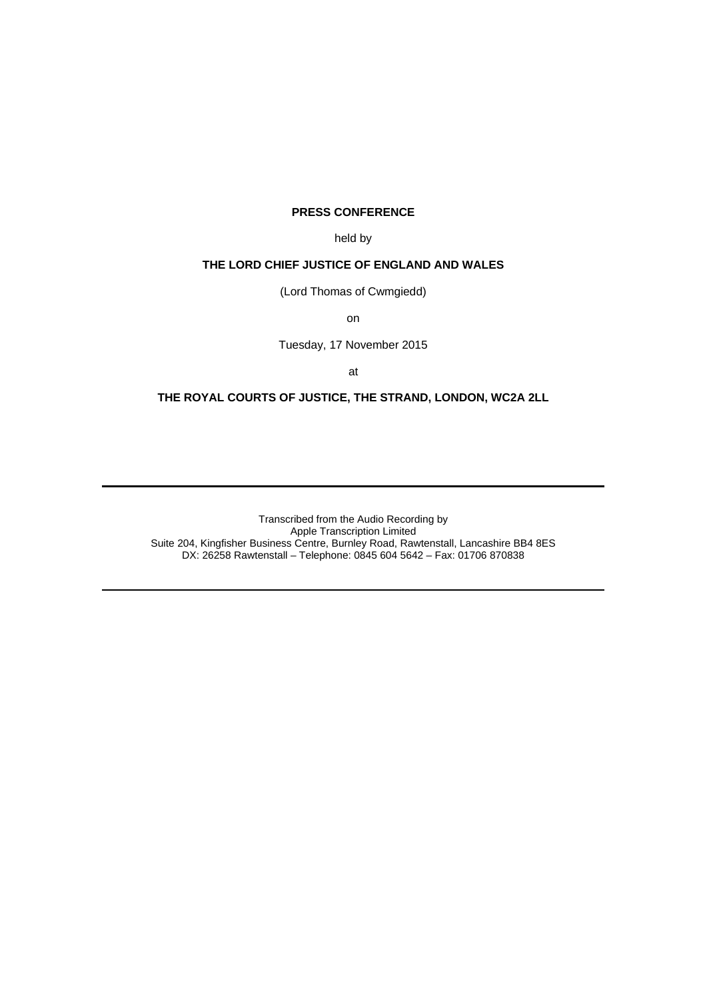## **PRESS CONFERENCE**

held by

## **THE LORD CHIEF JUSTICE OF ENGLAND AND WALES**

(Lord Thomas of Cwmgiedd)

on

Tuesday, 17 November 2015

at

## **THE ROYAL COURTS OF JUSTICE, THE STRAND, LONDON, WC2A 2LL**

Transcribed from the Audio Recording by Apple Transcription Limited Suite 204, Kingfisher Business Centre, Burnley Road, Rawtenstall, Lancashire BB4 8ES DX: 26258 Rawtenstall – Telephone: 0845 604 5642 – Fax: 01706 870838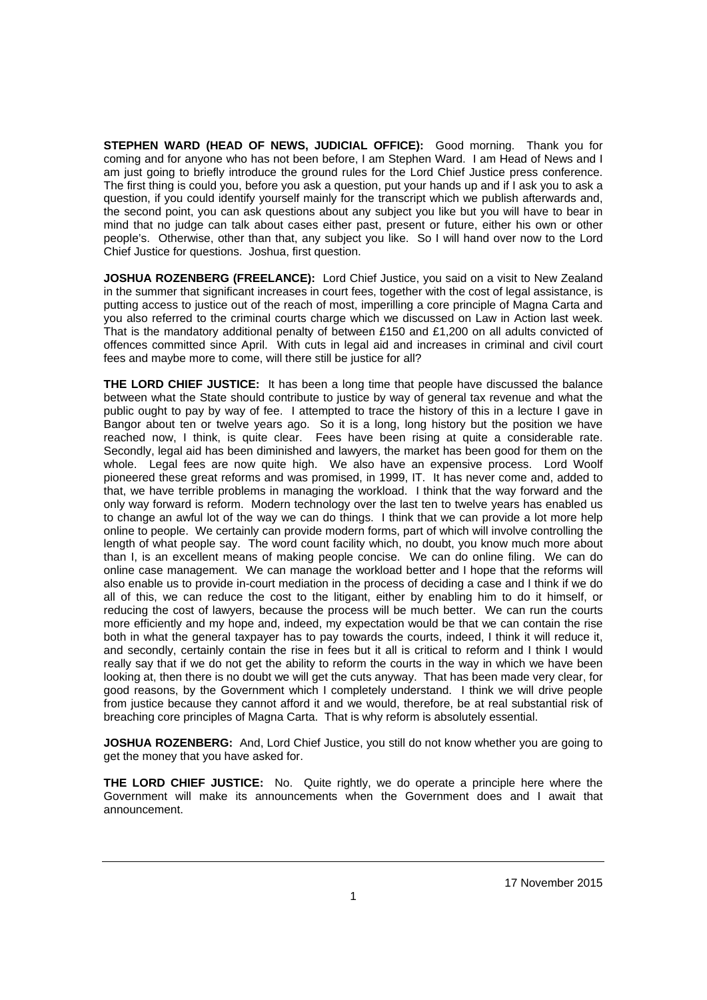**STEPHEN WARD (HEAD OF NEWS, JUDICIAL OFFICE):** Good morning. Thank you for coming and for anyone who has not been before, I am Stephen Ward. I am Head of News and I am just going to briefly introduce the ground rules for the Lord Chief Justice press conference. The first thing is could you, before you ask a question, put your hands up and if I ask you to ask a question, if you could identify yourself mainly for the transcript which we publish afterwards and, the second point, you can ask questions about any subject you like but you will have to bear in mind that no judge can talk about cases either past, present or future, either his own or other people's. Otherwise, other than that, any subject you like. So I will hand over now to the Lord Chief Justice for questions. Joshua, first question.

**JOSHUA ROZENBERG (FREELANCE):** Lord Chief Justice, you said on a visit to New Zealand in the summer that significant increases in court fees, together with the cost of legal assistance, is putting access to justice out of the reach of most, imperilling a core principle of Magna Carta and you also referred to the criminal courts charge which we discussed on Law in Action last week. That is the mandatory additional penalty of between £150 and £1,200 on all adults convicted of offences committed since April. With cuts in legal aid and increases in criminal and civil court fees and maybe more to come, will there still be justice for all?

**THE LORD CHIEF JUSTICE:** It has been a long time that people have discussed the balance between what the State should contribute to justice by way of general tax revenue and what the public ought to pay by way of fee. I attempted to trace the history of this in a lecture I gave in Bangor about ten or twelve years ago. So it is a long, long history but the position we have reached now, I think, is quite clear. Fees have been rising at quite a considerable rate. Secondly, legal aid has been diminished and lawyers, the market has been good for them on the whole. Legal fees are now quite high. We also have an expensive process. Lord Woolf pioneered these great reforms and was promised, in 1999, IT. It has never come and, added to that, we have terrible problems in managing the workload. I think that the way forward and the only way forward is reform. Modern technology over the last ten to twelve years has enabled us to change an awful lot of the way we can do things. I think that we can provide a lot more help online to people. We certainly can provide modern forms, part of which will involve controlling the length of what people say. The word count facility which, no doubt, you know much more about than I, is an excellent means of making people concise. We can do online filing. We can do online case management. We can manage the workload better and I hope that the reforms will also enable us to provide in-court mediation in the process of deciding a case and I think if we do all of this, we can reduce the cost to the litigant, either by enabling him to do it himself, or reducing the cost of lawyers, because the process will be much better. We can run the courts more efficiently and my hope and, indeed, my expectation would be that we can contain the rise both in what the general taxpayer has to pay towards the courts, indeed, I think it will reduce it, and secondly, certainly contain the rise in fees but it all is critical to reform and I think I would really say that if we do not get the ability to reform the courts in the way in which we have been looking at, then there is no doubt we will get the cuts anyway. That has been made very clear, for good reasons, by the Government which I completely understand. I think we will drive people from justice because they cannot afford it and we would, therefore, be at real substantial risk of breaching core principles of Magna Carta. That is why reform is absolutely essential.

**JOSHUA ROZENBERG:** And, Lord Chief Justice, you still do not know whether you are going to get the money that you have asked for.

**THE LORD CHIEF JUSTICE:** No. Quite rightly, we do operate a principle here where the Government will make its announcements when the Government does and I await that announcement.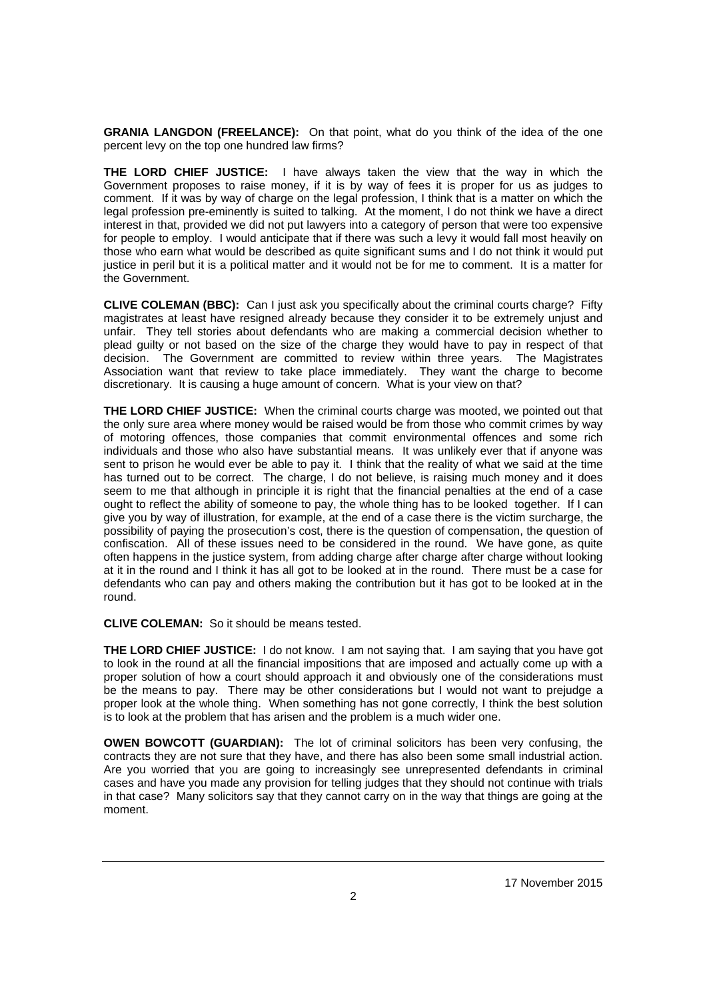**GRANIA LANGDON (FREELANCE):** On that point, what do you think of the idea of the one percent levy on the top one hundred law firms?

**THE LORD CHIEF JUSTICE:** I have always taken the view that the way in which the Government proposes to raise money, if it is by way of fees it is proper for us as judges to comment. If it was by way of charge on the legal profession, I think that is a matter on which the legal profession pre-eminently is suited to talking. At the moment, I do not think we have a direct interest in that, provided we did not put lawyers into a category of person that were too expensive for people to employ. I would anticipate that if there was such a levy it would fall most heavily on those who earn what would be described as quite significant sums and I do not think it would put justice in peril but it is a political matter and it would not be for me to comment. It is a matter for the Government.

**CLIVE COLEMAN (BBC):** Can I just ask you specifically about the criminal courts charge? Fifty magistrates at least have resigned already because they consider it to be extremely unjust and unfair. They tell stories about defendants who are making a commercial decision whether to plead guilty or not based on the size of the charge they would have to pay in respect of that decision. The Government are committed to review within three years. The Magistrates Association want that review to take place immediately. They want the charge to become discretionary. It is causing a huge amount of concern. What is your view on that?

**THE LORD CHIEF JUSTICE:** When the criminal courts charge was mooted, we pointed out that the only sure area where money would be raised would be from those who commit crimes by way of motoring offences, those companies that commit environmental offences and some rich individuals and those who also have substantial means. It was unlikely ever that if anyone was sent to prison he would ever be able to pay it. I think that the reality of what we said at the time has turned out to be correct. The charge, I do not believe, is raising much money and it does seem to me that although in principle it is right that the financial penalties at the end of a case ought to reflect the ability of someone to pay, the whole thing has to be looked together. If I can give you by way of illustration, for example, at the end of a case there is the victim surcharge, the possibility of paying the prosecution's cost, there is the question of compensation, the question of confiscation. All of these issues need to be considered in the round. We have gone, as quite often happens in the justice system, from adding charge after charge after charge without looking at it in the round and I think it has all got to be looked at in the round. There must be a case for defendants who can pay and others making the contribution but it has got to be looked at in the round.

**CLIVE COLEMAN:** So it should be means tested.

**THE LORD CHIEF JUSTICE:** I do not know. I am not saying that. I am saying that you have got to look in the round at all the financial impositions that are imposed and actually come up with a proper solution of how a court should approach it and obviously one of the considerations must be the means to pay. There may be other considerations but I would not want to prejudge a proper look at the whole thing. When something has not gone correctly, I think the best solution is to look at the problem that has arisen and the problem is a much wider one.

**OWEN BOWCOTT (GUARDIAN):** The lot of criminal solicitors has been very confusing, the contracts they are not sure that they have, and there has also been some small industrial action. Are you worried that you are going to increasingly see unrepresented defendants in criminal cases and have you made any provision for telling judges that they should not continue with trials in that case? Many solicitors say that they cannot carry on in the way that things are going at the moment.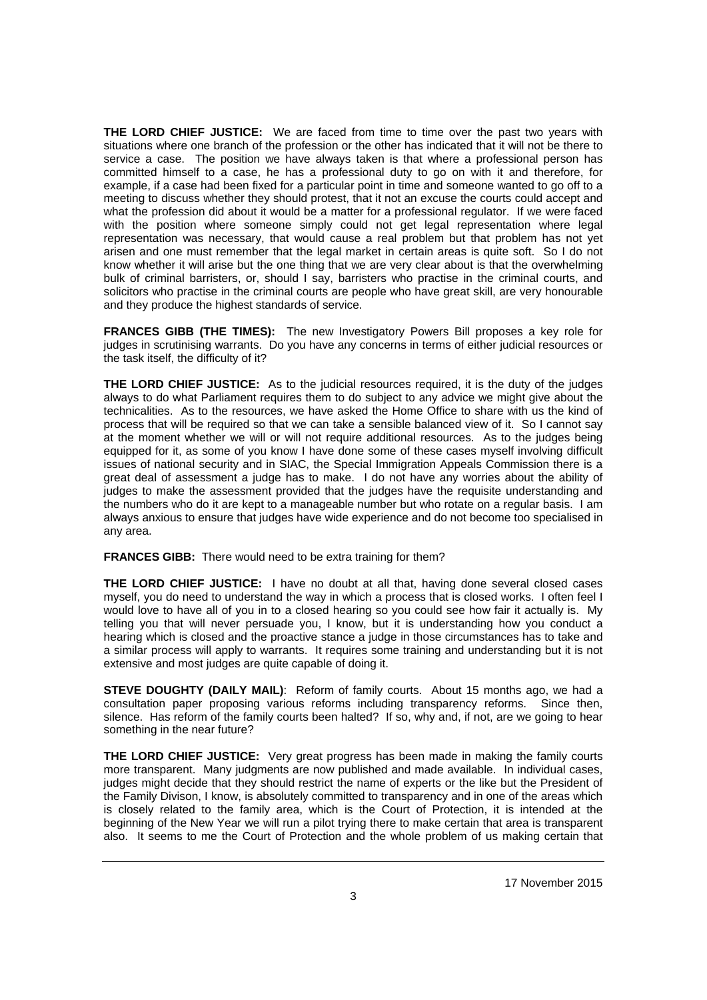**THE LORD CHIEF JUSTICE:** We are faced from time to time over the past two years with situations where one branch of the profession or the other has indicated that it will not be there to service a case. The position we have always taken is that where a professional person has committed himself to a case, he has a professional duty to go on with it and therefore, for example, if a case had been fixed for a particular point in time and someone wanted to go off to a meeting to discuss whether they should protest, that it not an excuse the courts could accept and what the profession did about it would be a matter for a professional regulator. If we were faced with the position where someone simply could not get legal representation where legal representation was necessary, that would cause a real problem but that problem has not yet arisen and one must remember that the legal market in certain areas is quite soft. So I do not know whether it will arise but the one thing that we are very clear about is that the overwhelming bulk of criminal barristers, or, should I say, barristers who practise in the criminal courts, and solicitors who practise in the criminal courts are people who have great skill, are very honourable and they produce the highest standards of service.

**FRANCES GIBB (THE TIMES):** The new Investigatory Powers Bill proposes a key role for judges in scrutinising warrants. Do you have any concerns in terms of either judicial resources or the task itself, the difficulty of it?

**THE LORD CHIEF JUSTICE:** As to the judicial resources required, it is the duty of the judges always to do what Parliament requires them to do subject to any advice we might give about the technicalities. As to the resources, we have asked the Home Office to share with us the kind of process that will be required so that we can take a sensible balanced view of it. So I cannot say at the moment whether we will or will not require additional resources. As to the judges being equipped for it, as some of you know I have done some of these cases myself involving difficult issues of national security and in SIAC, the Special Immigration Appeals Commission there is a great deal of assessment a judge has to make. I do not have any worries about the ability of judges to make the assessment provided that the judges have the requisite understanding and the numbers who do it are kept to a manageable number but who rotate on a regular basis. I am always anxious to ensure that judges have wide experience and do not become too specialised in any area.

**FRANCES GIBB:** There would need to be extra training for them?

**THE LORD CHIEF JUSTICE:** I have no doubt at all that, having done several closed cases myself, you do need to understand the way in which a process that is closed works. I often feel I would love to have all of you in to a closed hearing so you could see how fair it actually is. My telling you that will never persuade you, I know, but it is understanding how you conduct a hearing which is closed and the proactive stance a judge in those circumstances has to take and a similar process will apply to warrants. It requires some training and understanding but it is not extensive and most judges are quite capable of doing it.

**STEVE DOUGHTY (DAILY MAIL)**: Reform of family courts. About 15 months ago, we had a consultation paper proposing various reforms including transparency reforms. Since then, silence. Has reform of the family courts been halted? If so, why and, if not, are we going to hear something in the near future?

**THE LORD CHIEF JUSTICE:** Very great progress has been made in making the family courts more transparent. Many judgments are now published and made available. In individual cases, judges might decide that they should restrict the name of experts or the like but the President of the Family Divison, I know, is absolutely committed to transparency and in one of the areas which is closely related to the family area, which is the Court of Protection, it is intended at the beginning of the New Year we will run a pilot trying there to make certain that area is transparent also. It seems to me the Court of Protection and the whole problem of us making certain that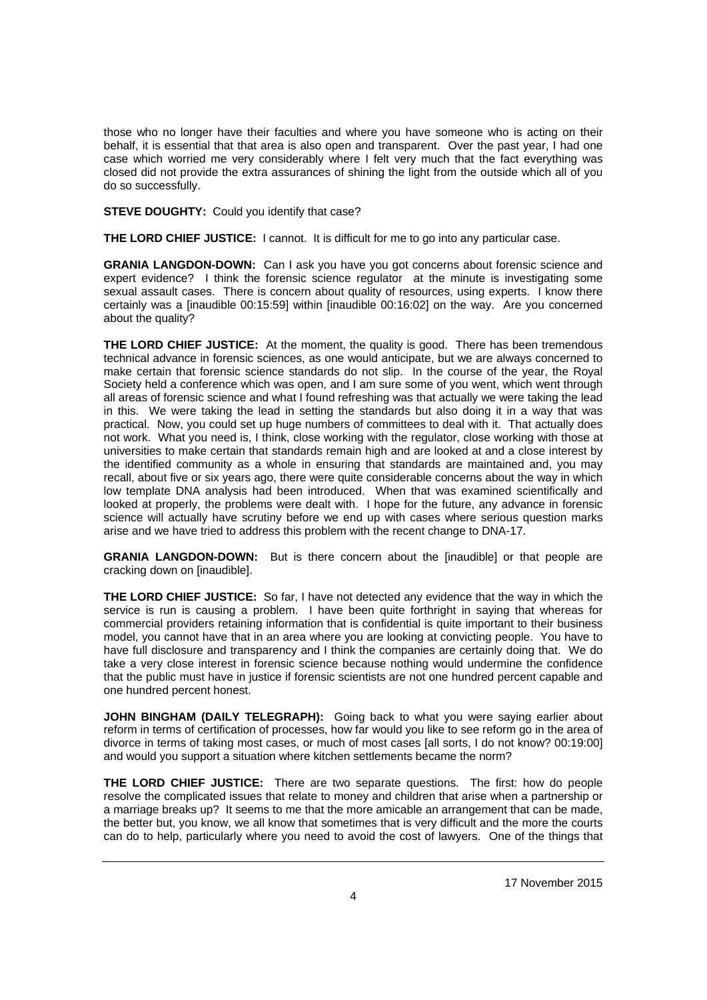those who no longer have their faculties and where you have someone who is acting on their behalf, it is essential that that area is also open and transparent. Over the past year, I had one case which worried me very considerably where I felt very much that the fact everything was closed did not provide the extra assurances of shining the light from the outside which all of you do so successfully.

**STEVE DOUGHTY:** Could you identify that case?

**THE LORD CHIEF JUSTICE:** I cannot. It is difficult for me to go into any particular case.

**GRANIA LANGDON-DOWN:** Can I ask you have you got concerns about forensic science and expert evidence? I think the forensic science regulator at the minute is investigating some sexual assault cases. There is concern about quality of resources, using experts. I know there certainly was a [inaudible 00:15:59] within [inaudible 00:16:02] on the way. Are you concerned about the quality?

**THE LORD CHIEF JUSTICE:** At the moment, the quality is good. There has been tremendous technical advance in forensic sciences, as one would anticipate, but we are always concerned to make certain that forensic science standards do not slip. In the course of the year, the Royal Society held a conference which was open, and I am sure some of you went, which went through all areas of forensic science and what I found refreshing was that actually we were taking the lead in this. We were taking the lead in setting the standards but also doing it in a way that was practical. Now, you could set up huge numbers of committees to deal with it. That actually does not work. What you need is, I think, close working with the regulator, close working with those at universities to make certain that standards remain high and are looked at and a close interest by the identified community as a whole in ensuring that standards are maintained and, you may recall, about five or six years ago, there were quite considerable concerns about the way in which low template DNA analysis had been introduced. When that was examined scientifically and looked at properly, the problems were dealt with. I hope for the future, any advance in forensic science will actually have scrutiny before we end up with cases where serious question marks arise and we have tried to address this problem with the recent change to DNA-17.

**GRANIA LANGDON-DOWN:** But is there concern about the [inaudible] or that people are cracking down on [inaudible].

**THE LORD CHIEF JUSTICE:** So far, I have not detected any evidence that the way in which the service is run is causing a problem. I have been quite forthright in saying that whereas for commercial providers retaining information that is confidential is quite important to their business model, you cannot have that in an area where you are looking at convicting people. You have to have full disclosure and transparency and I think the companies are certainly doing that. We do take a very close interest in forensic science because nothing would undermine the confidence that the public must have in justice if forensic scientists are not one hundred percent capable and one hundred percent honest.

**JOHN BINGHAM (DAILY TELEGRAPH):** Going back to what you were saying earlier about reform in terms of certification of processes, how far would you like to see reform go in the area of divorce in terms of taking most cases, or much of most cases [all sorts, I do not know? 00:19:00] and would you support a situation where kitchen settlements became the norm?

**THE LORD CHIEF JUSTICE:** There are two separate questions. The first: how do people resolve the complicated issues that relate to money and children that arise when a partnership or a marriage breaks up? It seems to me that the more amicable an arrangement that can be made, the better but, you know, we all know that sometimes that is very difficult and the more the courts can do to help, particularly where you need to avoid the cost of lawyers. One of the things that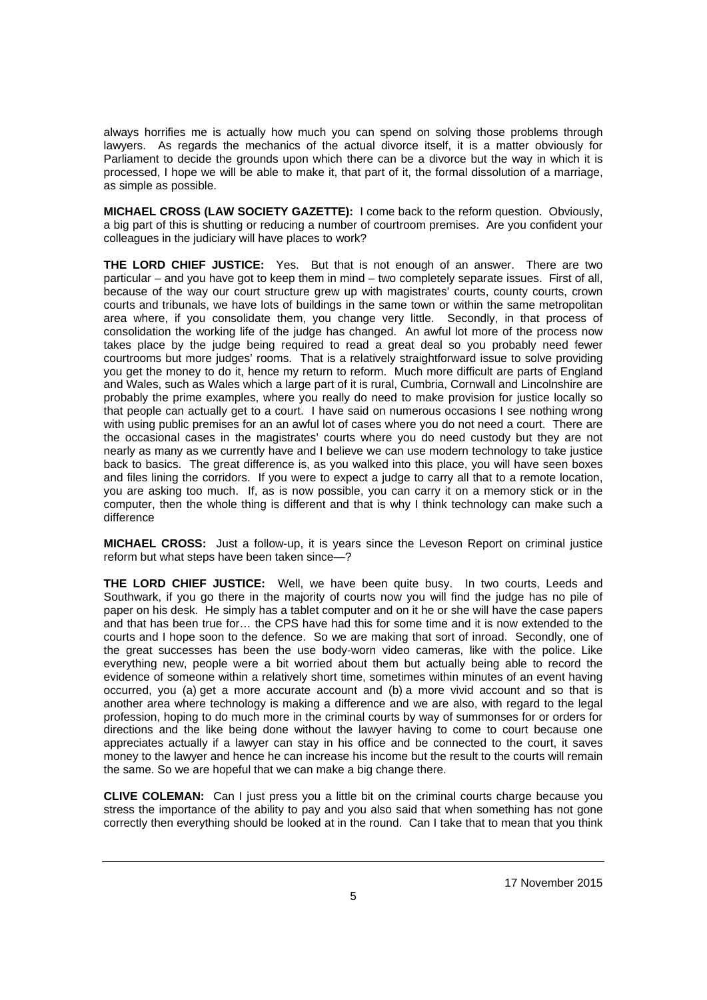always horrifies me is actually how much you can spend on solving those problems through lawyers. As regards the mechanics of the actual divorce itself, it is a matter obviously for Parliament to decide the grounds upon which there can be a divorce but the way in which it is processed, I hope we will be able to make it, that part of it, the formal dissolution of a marriage, as simple as possible.

**MICHAEL CROSS (LAW SOCIETY GAZETTE):** I come back to the reform question. Obviously, a big part of this is shutting or reducing a number of courtroom premises. Are you confident your colleagues in the judiciary will have places to work?

**THE LORD CHIEF JUSTICE:** Yes. But that is not enough of an answer. There are two particular – and you have got to keep them in mind – two completely separate issues. First of all, because of the way our court structure grew up with magistrates' courts, county courts, crown courts and tribunals, we have lots of buildings in the same town or within the same metropolitan area where, if you consolidate them, you change very little. Secondly, in that process of consolidation the working life of the judge has changed. An awful lot more of the process now takes place by the judge being required to read a great deal so you probably need fewer courtrooms but more judges' rooms. That is a relatively straightforward issue to solve providing you get the money to do it, hence my return to reform. Much more difficult are parts of England and Wales, such as Wales which a large part of it is rural, Cumbria, Cornwall and Lincolnshire are probably the prime examples, where you really do need to make provision for justice locally so that people can actually get to a court. I have said on numerous occasions I see nothing wrong with using public premises for an an awful lot of cases where you do not need a court. There are the occasional cases in the magistrates' courts where you do need custody but they are not nearly as many as we currently have and I believe we can use modern technology to take justice back to basics. The great difference is, as you walked into this place, you will have seen boxes and files lining the corridors. If you were to expect a judge to carry all that to a remote location, you are asking too much. If, as is now possible, you can carry it on a memory stick or in the computer, then the whole thing is different and that is why I think technology can make such a difference

**MICHAEL CROSS:** Just a follow-up, it is years since the Leveson Report on criminal justice reform but what steps have been taken since—?

**THE LORD CHIEF JUSTICE:** Well, we have been quite busy. In two courts, Leeds and Southwark, if you go there in the majority of courts now you will find the judge has no pile of paper on his desk. He simply has a tablet computer and on it he or she will have the case papers and that has been true for… the CPS have had this for some time and it is now extended to the courts and I hope soon to the defence. So we are making that sort of inroad. Secondly, one of the great successes has been the use body-worn video cameras, like with the police. Like everything new, people were a bit worried about them but actually being able to record the evidence of someone within a relatively short time, sometimes within minutes of an event having occurred, you (a) get a more accurate account and (b) a more vivid account and so that is another area where technology is making a difference and we are also, with regard to the legal profession, hoping to do much more in the criminal courts by way of summonses for or orders for directions and the like being done without the lawyer having to come to court because one appreciates actually if a lawyer can stay in his office and be connected to the court, it saves money to the lawyer and hence he can increase his income but the result to the courts will remain the same. So we are hopeful that we can make a big change there.

**CLIVE COLEMAN:** Can I just press you a little bit on the criminal courts charge because you stress the importance of the ability to pay and you also said that when something has not gone correctly then everything should be looked at in the round. Can I take that to mean that you think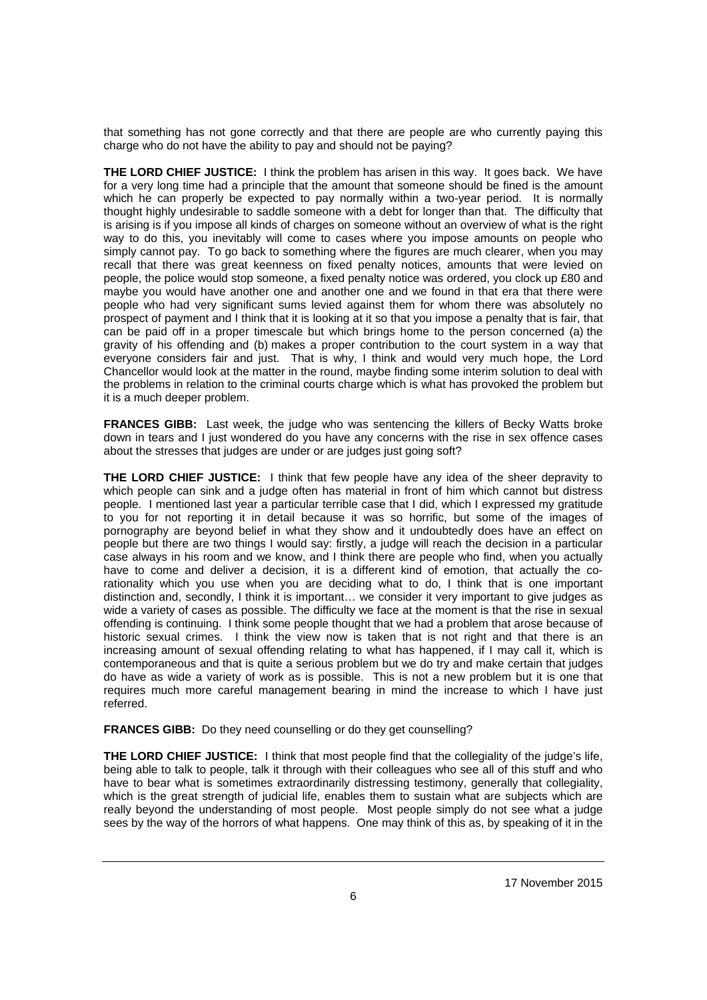that something has not gone correctly and that there are people are who currently paying this charge who do not have the ability to pay and should not be paying?

**THE LORD CHIEF JUSTICE:** I think the problem has arisen in this way. It goes back. We have for a very long time had a principle that the amount that someone should be fined is the amount which he can properly be expected to pay normally within a two-year period. It is normally thought highly undesirable to saddle someone with a debt for longer than that. The difficulty that is arising is if you impose all kinds of charges on someone without an overview of what is the right way to do this, you inevitably will come to cases where you impose amounts on people who simply cannot pay. To go back to something where the figures are much clearer, when you may recall that there was great keenness on fixed penalty notices, amounts that were levied on people, the police would stop someone, a fixed penalty notice was ordered, you clock up £80 and maybe you would have another one and another one and we found in that era that there were people who had very significant sums levied against them for whom there was absolutely no prospect of payment and I think that it is looking at it so that you impose a penalty that is fair, that can be paid off in a proper timescale but which brings home to the person concerned (a) the gravity of his offending and (b) makes a proper contribution to the court system in a way that everyone considers fair and just. That is why, I think and would very much hope, the Lord Chancellor would look at the matter in the round, maybe finding some interim solution to deal with the problems in relation to the criminal courts charge which is what has provoked the problem but it is a much deeper problem.

**FRANCES GIBB:** Last week, the judge who was sentencing the killers of Becky Watts broke down in tears and I just wondered do you have any concerns with the rise in sex offence cases about the stresses that judges are under or are judges just going soft?

**THE LORD CHIEF JUSTICE:** I think that few people have any idea of the sheer depravity to which people can sink and a judge often has material in front of him which cannot but distress people. I mentioned last year a particular terrible case that I did, which I expressed my gratitude to you for not reporting it in detail because it was so horrific, but some of the images of pornography are beyond belief in what they show and it undoubtedly does have an effect on people but there are two things I would say: firstly, a judge will reach the decision in a particular case always in his room and we know, and I think there are people who find, when you actually have to come and deliver a decision, it is a different kind of emotion, that actually the corationality which you use when you are deciding what to do, I think that is one important distinction and, secondly, I think it is important… we consider it very important to give judges as wide a variety of cases as possible. The difficulty we face at the moment is that the rise in sexual offending is continuing. I think some people thought that we had a problem that arose because of historic sexual crimes. I think the view now is taken that is not right and that there is an increasing amount of sexual offending relating to what has happened, if I may call it, which is contemporaneous and that is quite a serious problem but we do try and make certain that judges do have as wide a variety of work as is possible. This is not a new problem but it is one that requires much more careful management bearing in mind the increase to which I have just referred.

**FRANCES GIBB:** Do they need counselling or do they get counselling?

**THE LORD CHIEF JUSTICE:** I think that most people find that the collegiality of the judge's life, being able to talk to people, talk it through with their colleagues who see all of this stuff and who have to bear what is sometimes extraordinarily distressing testimony, generally that collegiality, which is the great strength of judicial life, enables them to sustain what are subjects which are really beyond the understanding of most people. Most people simply do not see what a judge sees by the way of the horrors of what happens. One may think of this as, by speaking of it in the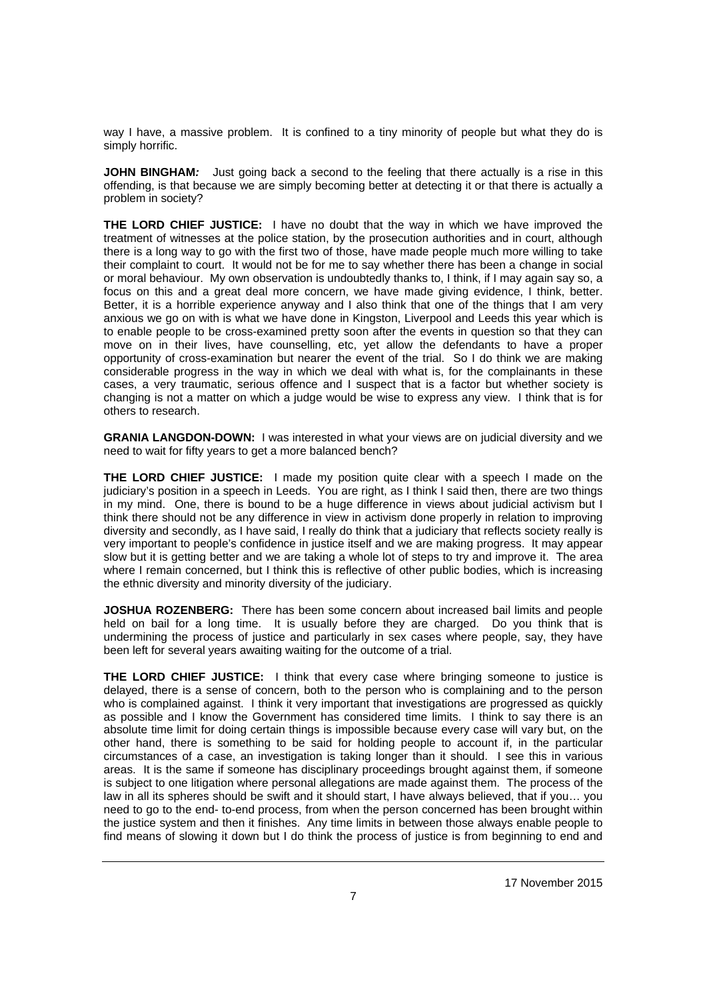way I have, a massive problem. It is confined to a tiny minority of people but what they do is simply horrific.

**JOHN BINGHAM**: Just going back a second to the feeling that there actually is a rise in this offending, is that because we are simply becoming better at detecting it or that there is actually a problem in society?

**THE LORD CHIEF JUSTICE:** I have no doubt that the way in which we have improved the treatment of witnesses at the police station, by the prosecution authorities and in court, although there is a long way to go with the first two of those, have made people much more willing to take their complaint to court. It would not be for me to say whether there has been a change in social or moral behaviour. My own observation is undoubtedly thanks to, I think, if I may again say so, a focus on this and a great deal more concern, we have made giving evidence, I think, better. Better, it is a horrible experience anyway and I also think that one of the things that I am very anxious we go on with is what we have done in Kingston, Liverpool and Leeds this year which is to enable people to be cross-examined pretty soon after the events in question so that they can move on in their lives, have counselling, etc, yet allow the defendants to have a proper opportunity of cross-examination but nearer the event of the trial. So I do think we are making considerable progress in the way in which we deal with what is, for the complainants in these cases, a very traumatic, serious offence and I suspect that is a factor but whether society is changing is not a matter on which a judge would be wise to express any view. I think that is for others to research.

**GRANIA LANGDON-DOWN:** I was interested in what your views are on judicial diversity and we need to wait for fifty years to get a more balanced bench?

**THE LORD CHIEF JUSTICE:** I made my position quite clear with a speech I made on the judiciary's position in a speech in Leeds. You are right, as I think I said then, there are two things in my mind. One, there is bound to be a huge difference in views about judicial activism but I think there should not be any difference in view in activism done properly in relation to improving diversity and secondly, as I have said, I really do think that a judiciary that reflects society really is very important to people's confidence in justice itself and we are making progress. It may appear slow but it is getting better and we are taking a whole lot of steps to try and improve it. The area where I remain concerned, but I think this is reflective of other public bodies, which is increasing the ethnic diversity and minority diversity of the judiciary.

**JOSHUA ROZENBERG:** There has been some concern about increased bail limits and people held on bail for a long time. It is usually before they are charged. Do you think that is undermining the process of justice and particularly in sex cases where people, say, they have been left for several years awaiting waiting for the outcome of a trial.

**THE LORD CHIEF JUSTICE:** I think that every case where bringing someone to justice is delayed, there is a sense of concern, both to the person who is complaining and to the person who is complained against. I think it very important that investigations are progressed as quickly as possible and I know the Government has considered time limits. I think to say there is an absolute time limit for doing certain things is impossible because every case will vary but, on the other hand, there is something to be said for holding people to account if, in the particular circumstances of a case, an investigation is taking longer than it should. I see this in various areas. It is the same if someone has disciplinary proceedings brought against them, if someone is subject to one litigation where personal allegations are made against them. The process of the law in all its spheres should be swift and it should start, I have always believed, that if you… you need to go to the end- to-end process, from when the person concerned has been brought within the justice system and then it finishes. Any time limits in between those always enable people to find means of slowing it down but I do think the process of justice is from beginning to end and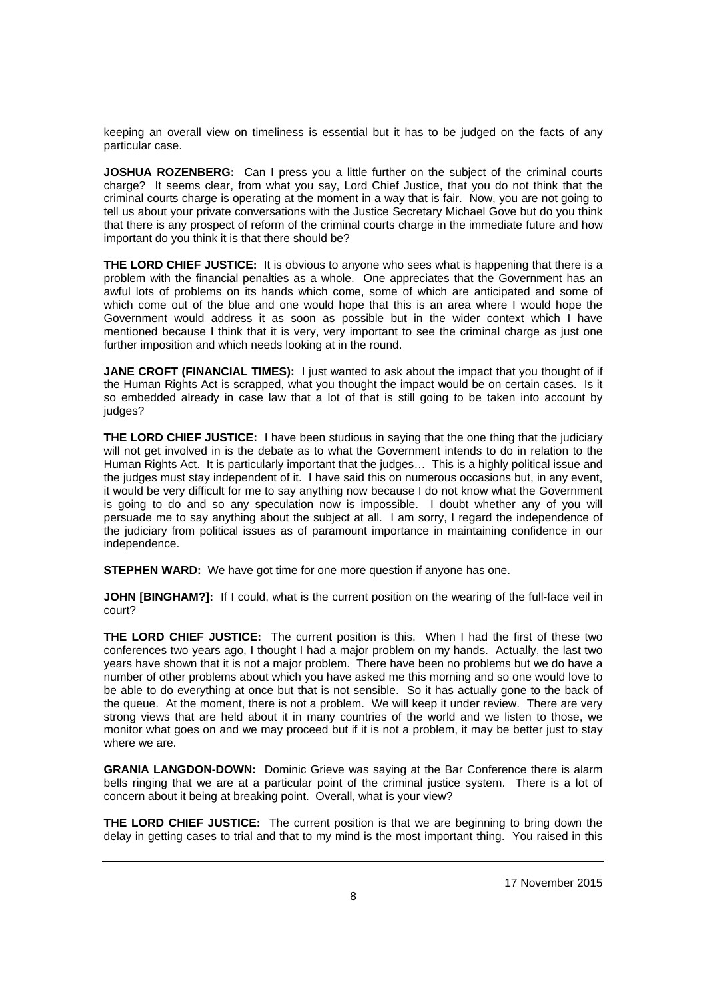keeping an overall view on timeliness is essential but it has to be judged on the facts of any particular case.

**JOSHUA ROZENBERG:** Can I press you a little further on the subject of the criminal courts charge? It seems clear, from what you say, Lord Chief Justice, that you do not think that the criminal courts charge is operating at the moment in a way that is fair. Now, you are not going to tell us about your private conversations with the Justice Secretary Michael Gove but do you think that there is any prospect of reform of the criminal courts charge in the immediate future and how important do you think it is that there should be?

**THE LORD CHIEF JUSTICE:** It is obvious to anyone who sees what is happening that there is a problem with the financial penalties as a whole. One appreciates that the Government has an awful lots of problems on its hands which come, some of which are anticipated and some of which come out of the blue and one would hope that this is an area where I would hope the Government would address it as soon as possible but in the wider context which I have mentioned because I think that it is very, very important to see the criminal charge as just one further imposition and which needs looking at in the round.

**JANE CROFT (FINANCIAL TIMES):** I just wanted to ask about the impact that you thought of if the Human Rights Act is scrapped, what you thought the impact would be on certain cases. Is it so embedded already in case law that a lot of that is still going to be taken into account by judges?

**THE LORD CHIEF JUSTICE:** I have been studious in saying that the one thing that the judiciary will not get involved in is the debate as to what the Government intends to do in relation to the Human Rights Act. It is particularly important that the judges… This is a highly political issue and the judges must stay independent of it. I have said this on numerous occasions but, in any event, it would be very difficult for me to say anything now because I do not know what the Government is going to do and so any speculation now is impossible. I doubt whether any of you will persuade me to say anything about the subject at all. I am sorry, I regard the independence of the judiciary from political issues as of paramount importance in maintaining confidence in our independence.

**STEPHEN WARD:** We have got time for one more question if anyone has one.

**JOHN [BINGHAM?]:** If I could, what is the current position on the wearing of the full-face veil in court?

**THE LORD CHIEF JUSTICE:** The current position is this. When I had the first of these two conferences two years ago, I thought I had a major problem on my hands. Actually, the last two years have shown that it is not a major problem. There have been no problems but we do have a number of other problems about which you have asked me this morning and so one would love to be able to do everything at once but that is not sensible. So it has actually gone to the back of the queue. At the moment, there is not a problem. We will keep it under review. There are very strong views that are held about it in many countries of the world and we listen to those, we monitor what goes on and we may proceed but if it is not a problem, it may be better just to stay where we are.

**GRANIA LANGDON-DOWN:** Dominic Grieve was saying at the Bar Conference there is alarm bells ringing that we are at a particular point of the criminal justice system. There is a lot of concern about it being at breaking point. Overall, what is your view?

**THE LORD CHIEF JUSTICE:** The current position is that we are beginning to bring down the delay in getting cases to trial and that to my mind is the most important thing. You raised in this